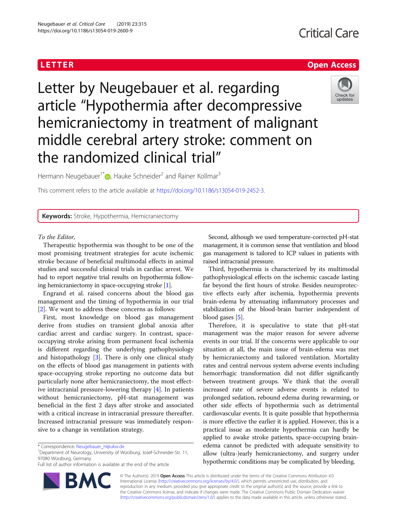# **Critical Care**

# **LETTER CONSTRUCTION CONSTRUCTS**



Letter by Neugebauer et al. regarding article "Hypothermia after decompressive hemicraniectomy in treatment of malignant middle cerebral artery stroke: comment on the randomized clinical trial"

Hermann Neugebauer<sup>1\*</sup><sup>D</sup>[,](http://orcid.org/0000-0003-3759-356X) Hauke Schneider<sup>2</sup> and Rainer Kollmar<sup>3</sup>

This comment refers to the article available at [https://doi.org/10.1186/s13054-019-2452-3.](https://doi.org/10.1186/s13054-019-2452-3)

**Keywords:** Stroke, Hypothermia, Hemicraniectomy

# To the Editor,

Therapeutic hypothermia was thought to be one of the most promising treatment strategies for acute ischemic stroke because of beneficial multimodal effects in animal studies and successful clinical trials in cardiac arrest. We had to report negative trial results on hypothermia following hemicraniectomy in space-occupying stroke [[1](#page-1-0)].

Engrand et al. raised concerns about the blood gas management and the timing of hypothermia in our trial [[2\]](#page-1-0). We want to address these concerns as follows:

First, most knowledge on blood gas management derive from studies on transient global anoxia after cardiac arrest and cardiac surgery. In contrast, spaceoccupying stroke arising from permanent focal ischemia is different regarding the underlying pathophysiology and histopathology [[3\]](#page-1-0). There is only one clinical study on the effects of blood gas management in patients with space-occupying stroke reporting no outcome data but particularly none after hemicraniectomy, the most effective intracranial pressure-lowering therapy [[4](#page-1-0)]. In patients without hemicraniectomy, pH-stat management was beneficial in the first 2 days after stroke and associated with a critical increase in intracranial pressure thereafter. Increased intracranial pressure was immediately responsive to a change in ventilation strategy.

Full list of author information is available at the end of the article



Second, although we used temperature-corrected pH-stat management, it is common sense that ventilation and blood gas management is tailored to ICP values in patients with raised intracranial pressure.

Third, hypothermia is characterized by its multimodal pathophysiological effects on the ischemic cascade lasting far beyond the first hours of stroke. Besides neuroprotective effects early after ischemia, hypothermia prevents brain-edema by attenuating inflammatory processes and stabilization of the blood-brain barrier independent of blood gases [\[5](#page-1-0)].

Therefore, it is speculative to state that pH-stat management was the major reason for severe adverse events in our trial. If the concerns were applicable to our situation at all, the main issue of brain-edema was met by hemicraniectomy and tailored ventilation. Mortality rates and central nervous system adverse events including hemorrhagic transformation did not differ significantly between treatment groups. We think that the overall increased rate of severe adverse events is related to prolonged sedation, rebound edema during rewarming, or other side effects of hypothermia such as detrimental cardiovascular events. It is quite possible that hypothermia is more effective the earlier it is applied. However, this is a practical issue as moderate hypothermia can hardly be applied to awake stroke patients, space-occupying brainedema cannot be predicted with adequate sensitivity to allow (ultra-)early hemicraniectomy, and surgery under hypothermic conditions may be complicated by bleeding.

© The Author(s). 2019 Open Access This article is distributed under the terms of the Creative Commons Attribution 4.0 International License [\(http://creativecommons.org/licenses/by/4.0/](http://creativecommons.org/licenses/by/4.0/)), which permits unrestricted use, distribution, and reproduction in any medium, provided you give appropriate credit to the original author(s) and the source, provide a link to the Creative Commons license, and indicate if changes were made. The Creative Commons Public Domain Dedication waiver [\(http://creativecommons.org/publicdomain/zero/1.0/](http://creativecommons.org/publicdomain/zero/1.0/)) applies to the data made available in this article, unless otherwise stated.

<sup>\*</sup> Correspondence: [Neugebauer\\_H@ukw.de](mailto:Neugebauer_H@ukw.de) <sup>1</sup>

Department of Neurology, University of Würzburg, Josef-Schneider-Str. 11, 97080 Würzburg, Germany